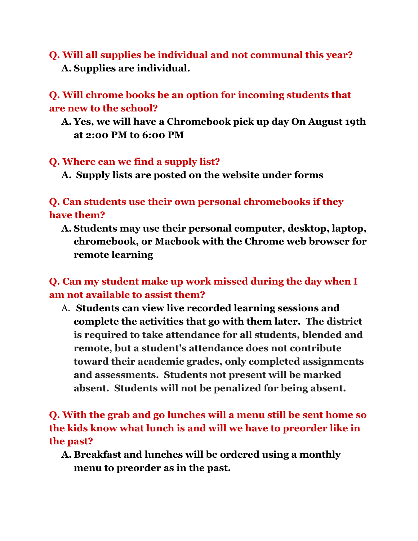**Q. Will all supplies be individual and not communal this year? A. Supplies are individual.**

**Q. Will chrome books be an option for incoming students that are new to the school?**

**A. Yes, we will have a Chromebook pick up day On August 19th at 2:00 PM to 6:00 PM**

#### **Q. Where can we find a supply list?**

**A. Supply lists are posted on the website under forms**

**Q. Can students use their own personal chromebooks if they have them?**

**A. Students may use their personal computer, desktop, laptop, chromebook, or Macbook with the Chrome web browser for remote learning**

**Q. Can my student make up work missed during the day when I am not available to assist them?**

A. **Students can view live recorded learning sessions and complete the activities that go with them later. The district is required to take attendance for all students, blended and remote, but a student's attendance does not contribute toward their academic grades, only completed assignments and assessments. Students not present will be marked absent. Students will not be penalized for being absent.**

# **Q. With the grab and go lunches will a menu still be sent home so the kids know what lunch is and will we have to preorder like in the past?**

**A. Breakfast and lunches will be ordered using a monthly menu to preorder as in the past.**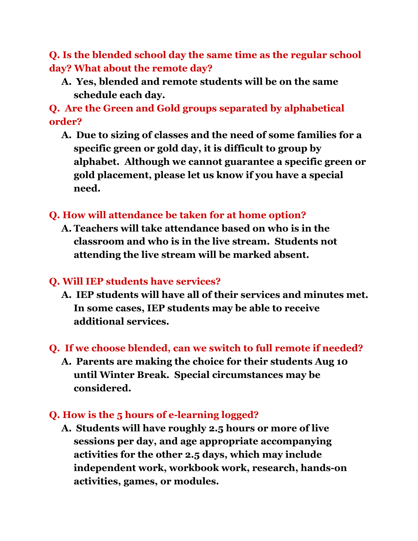**Q. Is the blended school day the same time as the regular school day? What about the remote day?**

**A. Yes, blended and remote students will be on the same schedule each day.**

**Q. Are the Green and Gold groups separated by alphabetical order?**

**A. Due to sizing of classes and the need of some families for a specific green or gold day, it is difficult to group by alphabet. Although we cannot guarantee a specific green or gold placement, please let us know if you have a special need.**

#### **Q. How will attendance be taken for at home option?**

**A. Teachers will take attendance based on who is in the classroom and who is in the live stream. Students not attending the live stream will be marked absent.**

#### **Q. Will IEP students have services?**

- **A. IEP students will have all of their services and minutes met. In some cases, IEP students may be able to receive additional services.**
- **Q. If we choose blended, can we switch to full remote if needed?**
	- **A. Parents are making the choice for their students Aug 10 until Winter Break. Special circumstances may be considered.**

#### **Q. How is the 5 hours of e-learning logged?**

**A. Students will have roughly 2.5 hours or more of live sessions per day, and age appropriate accompanying activities for the other 2.5 days, which may include independent work, workbook work, research, hands-on activities, games, or modules.**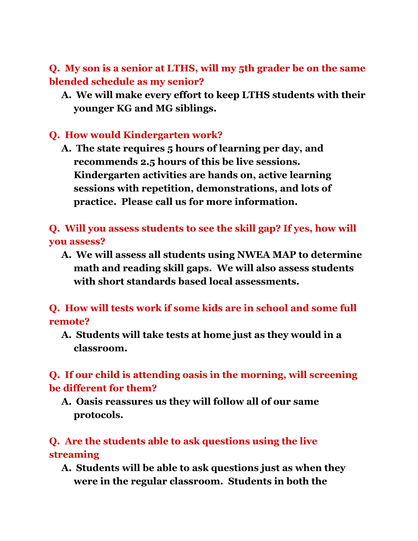**Q. My son is a senior at LTHS, will my 5th grader be on the same blended schedule as my senior?**

**A. We will make every effort to keep LTHS students with their younger KG and MG siblings.**

#### **Q. How would Kindergarten work?**

**A. The state requires 5 hours of learning per day, and recommends 2.5 hours of this be live sessions. Kindergarten activities are hands on, active learning sessions with repetition, demonstrations, and lots of practice. Please call us for more information.**

**Q. Will you assess students to see the skill gap? If yes, how will you assess?**

**A. We will assess all students using NWEA MAP to determine math and reading skill gaps. We will also assess students with short standards based local assessments.**

**Q. How will tests work if some kids are in school and some full remote?**

**A. Students will take tests at home just as they would in a classroom.**

**Q. If our child is attending oasis in the morning, will screening be different for them?**

**A. Oasis reassures us they will follow all of our same protocols.**

### **Q. Are the students able to ask questions using the live streaming**

**A. Students will be able to ask questions just as when they were in the regular classroom. Students in both the**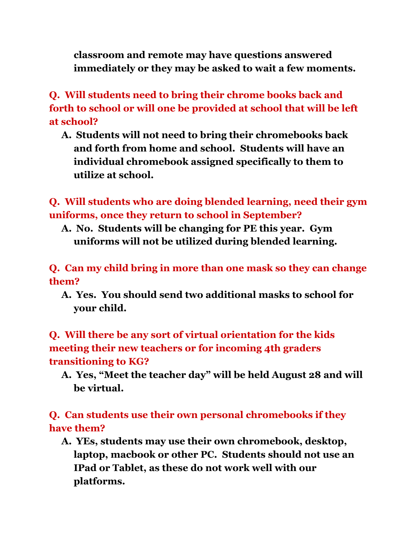**classroom and remote may have questions answered immediately or they may be asked to wait a few moments.**

**Q. Will students need to bring their chrome books back and forth to school or will one be provided at school that will be left at school?**

**A. Students will not need to bring their chromebooks back and forth from home and school. Students will have an individual chromebook assigned specifically to them to utilize at school.**

**Q. Will students who are doing blended learning, need their gym uniforms, once they return to school in September?**

**A. No. Students will be changing for PE this year. Gym uniforms will not be utilized during blended learning.**

**Q. Can my child bring in more than one mask so they can change them?**

**A. Yes. You should send two additional masks to school for your child.**

**Q. Will there be any sort of virtual orientation for the kids meeting their new teachers or for incoming 4th graders transitioning to KG?**

**A. Yes, "Meet the teacher day" will be held August 28 and will be virtual.**

## **Q. Can students use their own personal chromebooks if they have them?**

**A. YEs, students may use their own chromebook, desktop, laptop, macbook or other PC. Students should not use an IPad or Tablet, as these do not work well with our platforms.**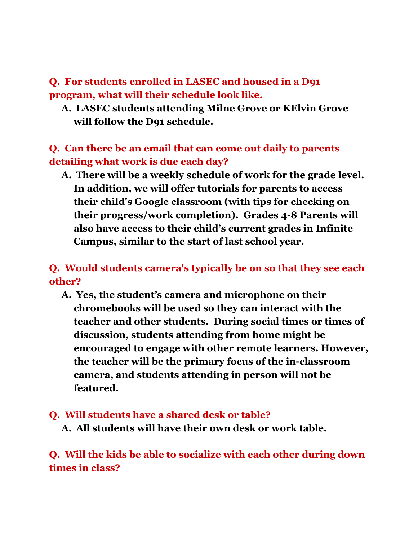## **Q. For students enrolled in LASEC and housed in a D91 program, what will their schedule look like.**

**A. LASEC students attending Milne Grove or KElvin Grove will follow the D91 schedule.**

#### **Q. Can there be an email that can come out daily to parents detailing what work is due each day?**

**A. There will be a weekly schedule of work for the grade level. In addition, we will offer tutorials for parents to access their child's Google classroom (with tips for checking on their progress/work completion). Grades 4-8 Parents will also have access to their child's current grades in Infinite Campus, similar to the start of last school year.**

## **Q. Would students camera's typically be on so that they see each other?**

**A. Yes, the student's camera and microphone on their chromebooks will be used so they can interact with the teacher and other students. During social times or times of discussion, students attending from home might be encouraged to engage with other remote learners. However, the teacher will be the primary focus of the in-classroom camera, and students attending in person will not be featured.**

#### **Q. Will students have a shared desk or table?**

**A. All students will have their own desk or work table.**

**Q. Will the kids be able to socialize with each other during down times in class?**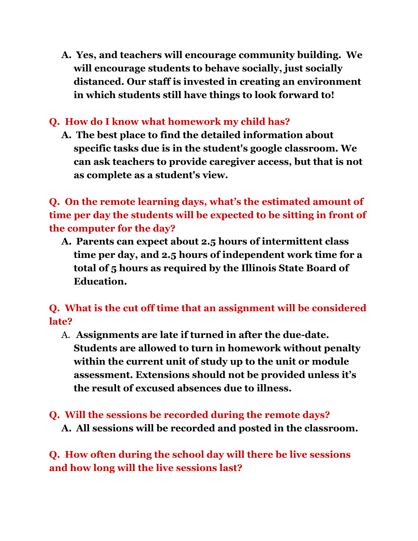**A. Yes, and teachers will encourage community building. We will encourage students to behave socially, just socially distanced. Our staff is invested in creating an environment in which students still have things to look forward to!**

## **Q. How do I know what homework my child has?**

**A. The best place to find the detailed information about specific tasks due is in the student's google classroom. We can ask teachers to provide caregiver access, but that is not as complete as a student's view.**

**Q. On the remote learning days, what's the estimated amount of time per day the students will be expected to be sitting in front of the computer for the day?**

**A. Parents can expect about 2.5 hours of intermittent class time per day, and 2.5 hours of independent work time for a total of 5 hours as required by the Illinois State Board of Education.**

**Q. What is the cut off time that an assignment will be considered late?**

- A. **Assignments are late if turned in after the due-date. Students are allowed to turn in homework without penalty within the current unit of study up to the unit or module assessment. Extensions should not be provided unless it's the result of excused absences due to illness.**
- **Q. Will the sessions be recorded during the remote days? A. All sessions will be recorded and posted in the classroom.**

**Q. How often during the school day will there be live sessions and how long will the live sessions last?**